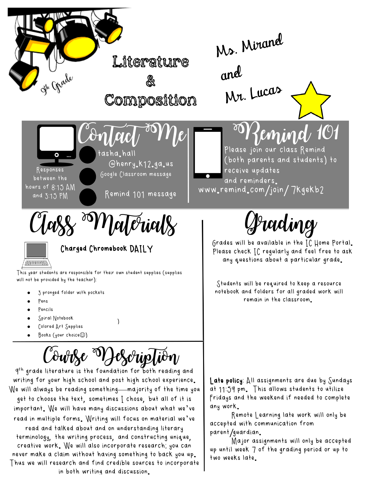